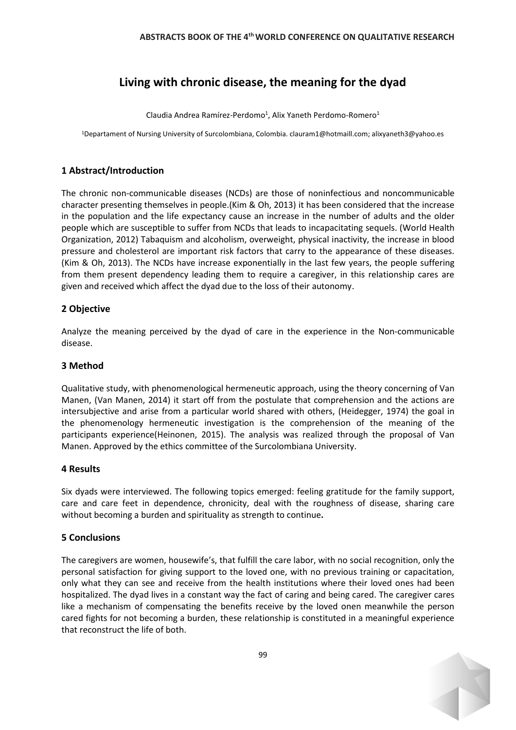# **Living with chronic disease, the meaning for the dyad**

Claudia Andrea Ramírez-Perdomo<sup>1</sup>, Alix Yaneth Perdomo-Romero<sup>1</sup>

<sup>1</sup>Departament of Nursing University of Surcolombiana, Colombia. clauram1@hotmaill.com; alixyaneth3@yahoo.es

# **1 Abstract/Introduction**

The chronic non-communicable diseases (NCDs) are those of noninfectious and noncommunicable character presenting themselves in people.(Kim & Oh, 2013) it has been considered that the increase in the population and the life expectancy cause an increase in the number of adults and the older people which are susceptible to suffer from NCDs that leads to incapacitating sequels. (World Health Organization, 2012) Tabaquism and alcoholism, overweight, physical inactivity, the increase in blood pressure and cholesterol are important risk factors that carry to the appearance of these diseases. (Kim & Oh, 2013). The NCDs have increase exponentially in the last few years, the people suffering from them present dependency leading them to require a caregiver, in this relationship cares are given and received which affect the dyad due to the loss of their autonomy.

# **2 Objective**

Analyze the meaning perceived by the dyad of care in the experience in the Non-communicable disease.

## **3 Method**

Qualitative study, with phenomenological hermeneutic approach, using the theory concerning of Van Manen, (Van Manen, 2014) it start off from the postulate that comprehension and the actions are intersubjective and arise from a particular world shared with others, (Heidegger, 1974) the goal in the phenomenology hermeneutic investigation is the comprehension of the meaning of the participants experience(Heinonen, 2015). The analysis was realized through the proposal of Van Manen. Approved by the ethics committee of the Surcolombiana University.

## **4 Results**

Six dyads were interviewed. The following topics emerged: feeling gratitude for the family support, care and care feet in dependence, chronicity, deal with the roughness of disease, sharing care without becoming a burden and spirituality as strength to continue**.**

## **5 Conclusions**

The caregivers are women, housewife's, that fulfill the care labor, with no social recognition, only the personal satisfaction for giving support to the loved one, with no previous training or capacitation, only what they can see and receive from the health institutions where their loved ones had been hospitalized. The dyad lives in a constant way the fact of caring and being cared. The caregiver cares like a mechanism of compensating the benefits receive by the loved onen meanwhile the person cared fights for not becoming a burden, these relationship is constituted in a meaningful experience that reconstruct the life of both.